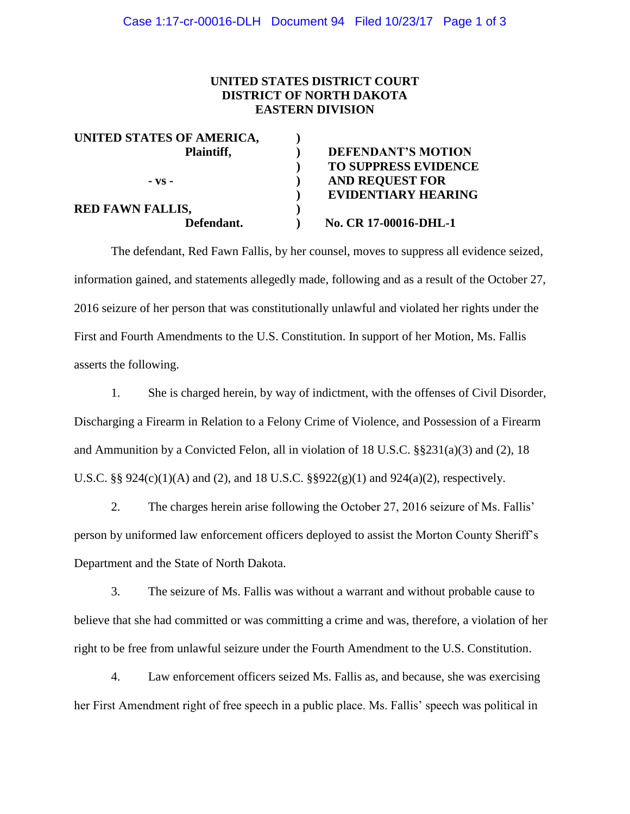## **UNITED STATES DISTRICT COURT DISTRICT OF NORTH DAKOTA EASTERN DIVISION**

| <b>DEFENDANT'S MOTION</b>   |
|-----------------------------|
| <b>TO SUPPRESS EVIDENCE</b> |
| <b>AND REQUEST FOR</b>      |
| <b>EVIDENTIARY HEARING</b>  |
|                             |
| No. CR 17-00016-DHL-1       |
|                             |

The defendant, Red Fawn Fallis, by her counsel, moves to suppress all evidence seized, information gained, and statements allegedly made, following and as a result of the October 27, 2016 seizure of her person that was constitutionally unlawful and violated her rights under the First and Fourth Amendments to the U.S. Constitution. In support of her Motion, Ms. Fallis asserts the following.

1. She is charged herein, by way of indictment, with the offenses of Civil Disorder, Discharging a Firearm in Relation to a Felony Crime of Violence, and Possession of a Firearm and Ammunition by a Convicted Felon, all in violation of 18 U.S.C.  $\S 231(a)(3)$  and (2), 18 U.S.C. §§ 924(c)(1)(A) and (2), and 18 U.S.C. §§922(g)(1) and 924(a)(2), respectively.

2. The charges herein arise following the October 27, 2016 seizure of Ms. Fallis' person by uniformed law enforcement officers deployed to assist the Morton County Sheriff's Department and the State of North Dakota.

3. The seizure of Ms. Fallis was without a warrant and without probable cause to believe that she had committed or was committing a crime and was, therefore, a violation of her right to be free from unlawful seizure under the Fourth Amendment to the U.S. Constitution.

4. Law enforcement officers seized Ms. Fallis as, and because, she was exercising her First Amendment right of free speech in a public place. Ms. Fallis' speech was political in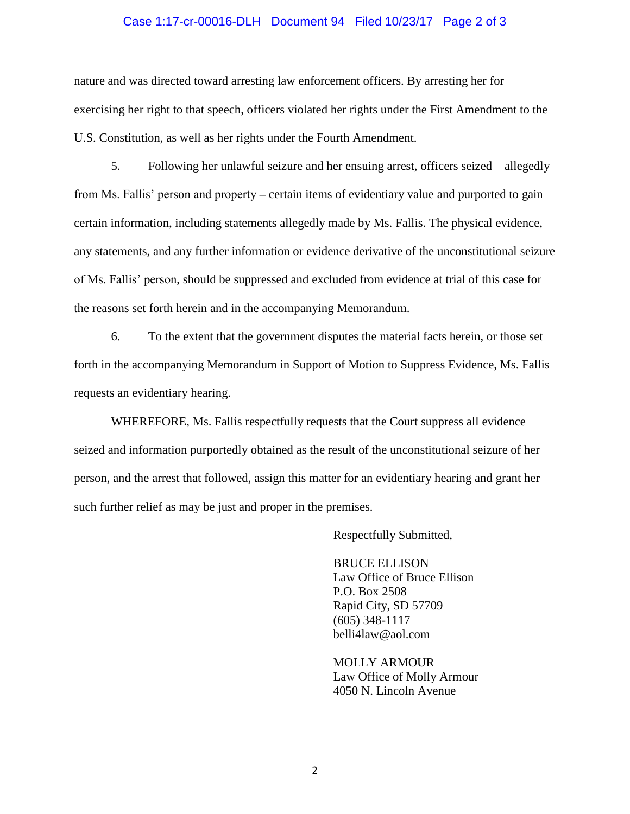## Case 1:17-cr-00016-DLH Document 94 Filed 10/23/17 Page 2 of 3

nature and was directed toward arresting law enforcement officers. By arresting her for exercising her right to that speech, officers violated her rights under the First Amendment to the U.S. Constitution, as well as her rights under the Fourth Amendment.

5. Following her unlawful seizure and her ensuing arrest, officers seized – allegedly from Ms. Fallis' person and property **–** certain items of evidentiary value and purported to gain certain information, including statements allegedly made by Ms. Fallis. The physical evidence, any statements, and any further information or evidence derivative of the unconstitutional seizure of Ms. Fallis' person, should be suppressed and excluded from evidence at trial of this case for the reasons set forth herein and in the accompanying Memorandum.

6. To the extent that the government disputes the material facts herein, or those set forth in the accompanying Memorandum in Support of Motion to Suppress Evidence, Ms. Fallis requests an evidentiary hearing.

WHEREFORE, Ms. Fallis respectfully requests that the Court suppress all evidence seized and information purportedly obtained as the result of the unconstitutional seizure of her person, and the arrest that followed, assign this matter for an evidentiary hearing and grant her such further relief as may be just and proper in the premises.

Respectfully Submitted,

BRUCE ELLISON Law Office of Bruce Ellison P.O. Box 2508 Rapid City, SD 57709 (605) 348-1117 belli4law@aol.com

MOLLY ARMOUR Law Office of Molly Armour 4050 N. Lincoln Avenue